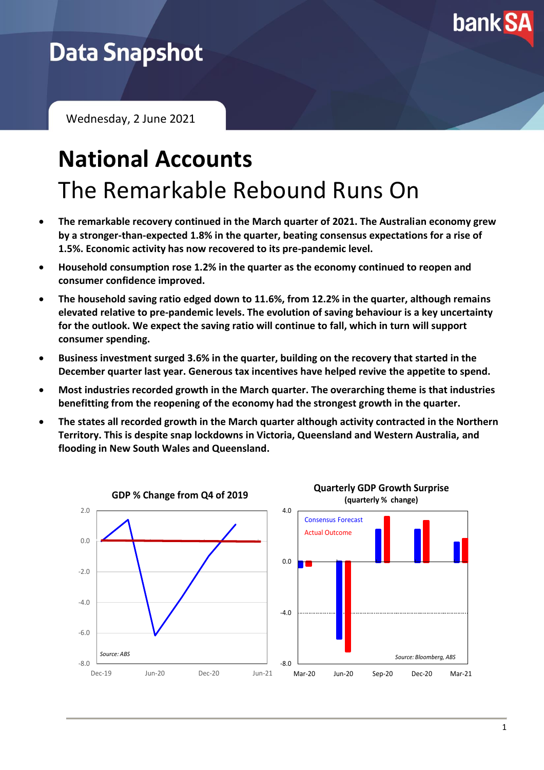

## **Data Snapshot**

Wednesday, 2 June 2021

# **National Accounts** The Remarkable Rebound Runs On

- **The remarkable recovery continued in the March quarter of 2021. The Australian economy grew by a stronger-than-expected 1.8% in the quarter, beating consensus expectations for a rise of 1.5%. Economic activity has now recovered to its pre-pandemic level.**
- **Household consumption rose 1.2% in the quarter as the economy continued to reopen and consumer confidence improved.**
- **The household saving ratio edged down to 11.6%, from 12.2% in the quarter, although remains elevated relative to pre-pandemic levels. The evolution of saving behaviour is a key uncertainty for the outlook. We expect the saving ratio will continue to fall, which in turn will support consumer spending.**
- **Business investment surged 3.6% in the quarter, building on the recovery that started in the December quarter last year. Generous tax incentives have helped revive the appetite to spend.**
- **Most industries recorded growth in the March quarter. The overarching theme is that industries benefitting from the reopening of the economy had the strongest growth in the quarter.**
- **The states all recorded growth in the March quarter although activity contracted in the Northern Territory. This is despite snap lockdowns in Victoria, Queensland and Western Australia, and flooding in New South Wales and Queensland.**

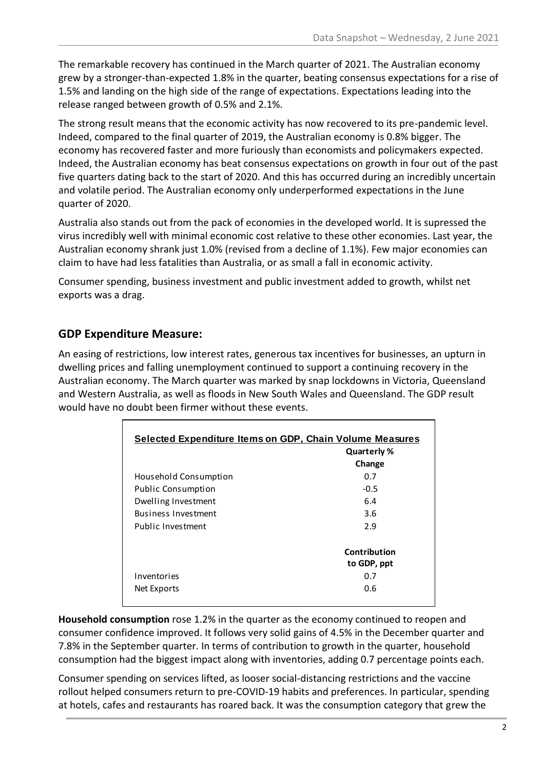The remarkable recovery has continued in the March quarter of 2021. The Australian economy grew by a stronger-than-expected 1.8% in the quarter, beating consensus expectations for a rise of 1.5% and landing on the high side of the range of expectations. Expectations leading into the release ranged between growth of 0.5% and 2.1%.

The strong result means that the economic activity has now recovered to its pre-pandemic level. Indeed, compared to the final quarter of 2019, the Australian economy is 0.8% bigger. The economy has recovered faster and more furiously than economists and policymakers expected. Indeed, the Australian economy has beat consensus expectations on growth in four out of the past five quarters dating back to the start of 2020. And this has occurred during an incredibly uncertain and volatile period. The Australian economy only underperformed expectations in the June quarter of 2020.

Australia also stands out from the pack of economies in the developed world. It is supressed the virus incredibly well with minimal economic cost relative to these other economies. Last year, the Australian economy shrank just 1.0% (revised from a decline of 1.1%). Few major economies can claim to have had less fatalities than Australia, or as small a fall in economic activity.

Consumer spending, business investment and public investment added to growth, whilst net exports was a drag.

#### **GDP Expenditure Measure:**

An easing of restrictions, low interest rates, generous tax incentives for businesses, an upturn in dwelling prices and falling unemployment continued to support a continuing recovery in the Australian economy. The March quarter was marked by snap lockdowns in Victoria, Queensland and Western Australia, as well as floods in New South Wales and Queensland. The GDP result would have no doubt been firmer without these events.

| <b>Selected Expenditure Items on GDP, Chain Volume Measures</b> |                             |  |
|-----------------------------------------------------------------|-----------------------------|--|
|                                                                 | Quarterly %                 |  |
|                                                                 | Change                      |  |
| Household Consumption                                           | 0.7                         |  |
| <b>Public Consumption</b>                                       | $-0.5$                      |  |
| Dwelling Investment                                             | 6.4                         |  |
| <b>Business Investment</b>                                      | 3.6                         |  |
| Public Investment                                               | 2.9                         |  |
|                                                                 | Contribution<br>to GDP, ppt |  |
| Inventories                                                     | 0.7                         |  |
| Net Exports                                                     | 0.6                         |  |

**Household consumption** rose 1.2% in the quarter as the economy continued to reopen and consumer confidence improved. It follows very solid gains of 4.5% in the December quarter and 7.8% in the September quarter. In terms of contribution to growth in the quarter, household consumption had the biggest impact along with inventories, adding 0.7 percentage points each.

Consumer spending on services lifted, as looser social-distancing restrictions and the vaccine rollout helped consumers return to pre-COVID-19 habits and preferences. In particular, spending at hotels, cafes and restaurants has roared back. It was the consumption category that grew the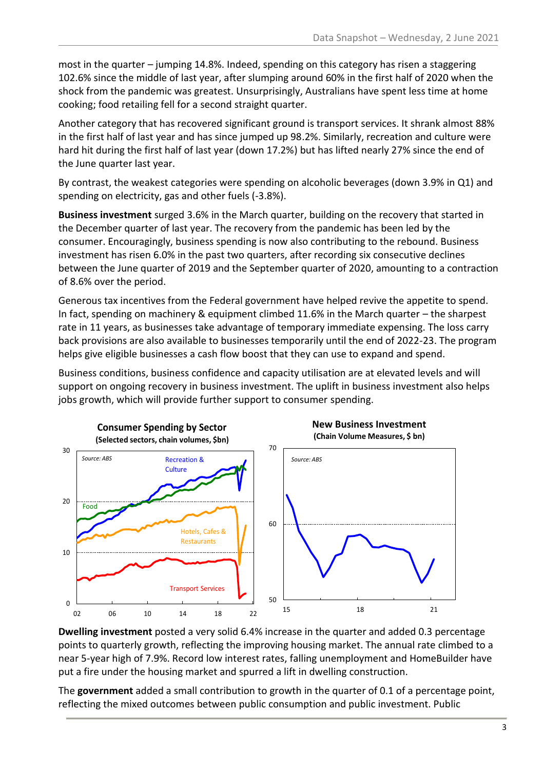most in the quarter – jumping 14.8%. Indeed, spending on this category has risen a staggering 102.6% since the middle of last year, after slumping around 60% in the first half of 2020 when the shock from the pandemic was greatest. Unsurprisingly, Australians have spent less time at home cooking; food retailing fell for a second straight quarter.

Another category that has recovered significant ground is transport services. It shrank almost 88% in the first half of last year and has since jumped up 98.2%. Similarly, recreation and culture were hard hit during the first half of last year (down 17.2%) but has lifted nearly 27% since the end of the June quarter last year.

By contrast, the weakest categories were spending on alcoholic beverages (down 3.9% in Q1) and spending on electricity, gas and other fuels (-3.8%).

**Business investment** surged 3.6% in the March quarter, building on the recovery that started in the December quarter of last year. The recovery from the pandemic has been led by the consumer. Encouragingly, business spending is now also contributing to the rebound. Business investment has risen 6.0% in the past two quarters, after recording six consecutive declines between the June quarter of 2019 and the September quarter of 2020, amounting to a contraction of 8.6% over the period.

Generous tax incentives from the Federal government have helped revive the appetite to spend. In fact, spending on machinery & equipment climbed 11.6% in the March quarter – the sharpest rate in 11 years, as businesses take advantage of temporary immediate expensing. The loss carry back provisions are also available to businesses temporarily until the end of 2022-23. The program helps give eligible businesses a cash flow boost that they can use to expand and spend.

Business conditions, business confidence and capacity utilisation are at elevated levels and will support on ongoing recovery in business investment. The uplift in business investment also helps jobs growth, which will provide further support to consumer spending.



**Dwelling investment** posted a very solid 6.4% increase in the quarter and added 0.3 percentage points to quarterly growth, reflecting the improving housing market. The annual rate climbed to a near 5-year high of 7.9%. Record low interest rates, falling unemployment and HomeBuilder have put a fire under the housing market and spurred a lift in dwelling construction.

The **government** added a small contribution to growth in the quarter of 0.1 of a percentage point, reflecting the mixed outcomes between public consumption and public investment. Public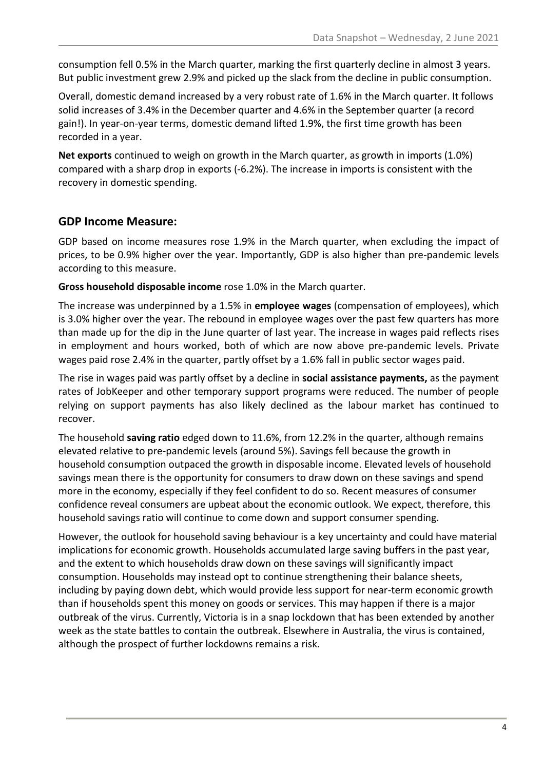consumption fell 0.5% in the March quarter, marking the first quarterly decline in almost 3 years. But public investment grew 2.9% and picked up the slack from the decline in public consumption.

Overall, domestic demand increased by a very robust rate of 1.6% in the March quarter. It follows solid increases of 3.4% in the December quarter and 4.6% in the September quarter (a record gain!). In year-on-year terms, domestic demand lifted 1.9%, the first time growth has been recorded in a year.

**Net exports** continued to weigh on growth in the March quarter, as growth in imports (1.0%) compared with a sharp drop in exports (-6.2%). The increase in imports is consistent with the recovery in domestic spending.

#### **GDP Income Measure:**

GDP based on income measures rose 1.9% in the March quarter, when excluding the impact of prices, to be 0.9% higher over the year. Importantly, GDP is also higher than pre-pandemic levels according to this measure.

**Gross household disposable income** rose 1.0% in the March quarter.

The increase was underpinned by a 1.5% in **employee wages** (compensation of employees), which is 3.0% higher over the year. The rebound in employee wages over the past few quarters has more than made up for the dip in the June quarter of last year. The increase in wages paid reflects rises in employment and hours worked, both of which are now above pre-pandemic levels. Private wages paid rose 2.4% in the quarter, partly offset by a 1.6% fall in public sector wages paid.

The rise in wages paid was partly offset by a decline in **social assistance payments,** as the payment rates of JobKeeper and other temporary support programs were reduced. The number of people relying on support payments has also likely declined as the labour market has continued to recover.

The household **saving ratio** edged down to 11.6%, from 12.2% in the quarter, although remains elevated relative to pre-pandemic levels (around 5%). Savings fell because the growth in household consumption outpaced the growth in disposable income. Elevated levels of household savings mean there is the opportunity for consumers to draw down on these savings and spend more in the economy, especially if they feel confident to do so. Recent measures of consumer confidence reveal consumers are upbeat about the economic outlook. We expect, therefore, this household savings ratio will continue to come down and support consumer spending.

However, the outlook for household saving behaviour is a key uncertainty and could have material implications for economic growth. Households accumulated large saving buffers in the past year, and the extent to which households draw down on these savings will significantly impact consumption. Households may instead opt to continue strengthening their balance sheets, including by paying down debt, which would provide less support for near-term economic growth than if households spent this money on goods or services. This may happen if there is a major outbreak of the virus. Currently, Victoria is in a snap lockdown that has been extended by another week as the state battles to contain the outbreak. Elsewhere in Australia, the virus is contained, although the prospect of further lockdowns remains a risk.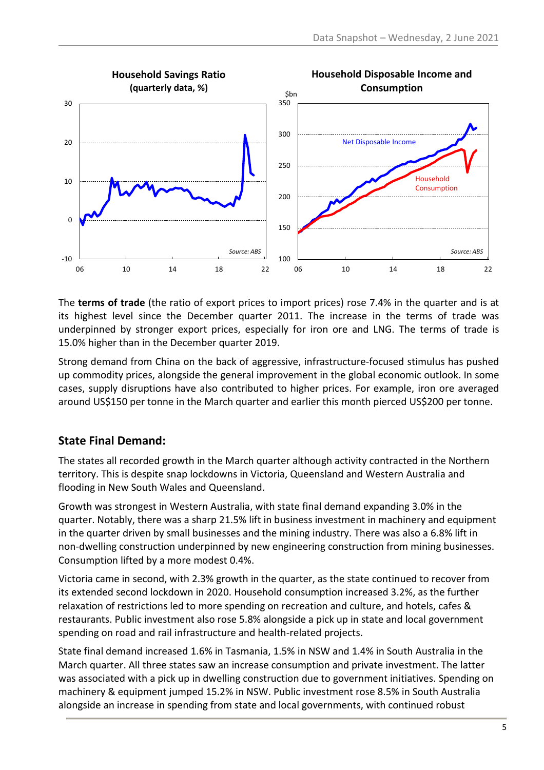

The **terms of trade** (the ratio of export prices to import prices) rose 7.4% in the quarter and is at its highest level since the December quarter 2011. The increase in the terms of trade was underpinned by stronger export prices, especially for iron ore and LNG. The terms of trade is 15.0% higher than in the December quarter 2019.

Strong demand from China on the back of aggressive, infrastructure-focused stimulus has pushed up commodity prices, alongside the general improvement in the global economic outlook. In some cases, supply disruptions have also contributed to higher prices. For example, iron ore averaged around US\$150 per tonne in the March quarter and earlier this month pierced US\$200 per tonne.

#### **State Final Demand:**

The states all recorded growth in the March quarter although activity contracted in the Northern territory. This is despite snap lockdowns in Victoria, Queensland and Western Australia and flooding in New South Wales and Queensland.

Growth was strongest in Western Australia, with state final demand expanding 3.0% in the quarter. Notably, there was a sharp 21.5% lift in business investment in machinery and equipment in the quarter driven by small businesses and the mining industry. There was also a 6.8% lift in non-dwelling construction underpinned by new engineering construction from mining businesses. Consumption lifted by a more modest 0.4%.

Victoria came in second, with 2.3% growth in the quarter, as the state continued to recover from its extended second lockdown in 2020. Household consumption increased 3.2%, as the further relaxation of restrictions led to more spending on recreation and culture, and hotels, cafes & restaurants. Public investment also rose 5.8% alongside a pick up in state and local government spending on road and rail infrastructure and health-related projects.

State final demand increased 1.6% in Tasmania, 1.5% in NSW and 1.4% in South Australia in the March quarter. All three states saw an increase consumption and private investment. The latter was associated with a pick up in dwelling construction due to government initiatives. Spending on machinery & equipment jumped 15.2% in NSW. Public investment rose 8.5% in South Australia alongside an increase in spending from state and local governments, with continued robust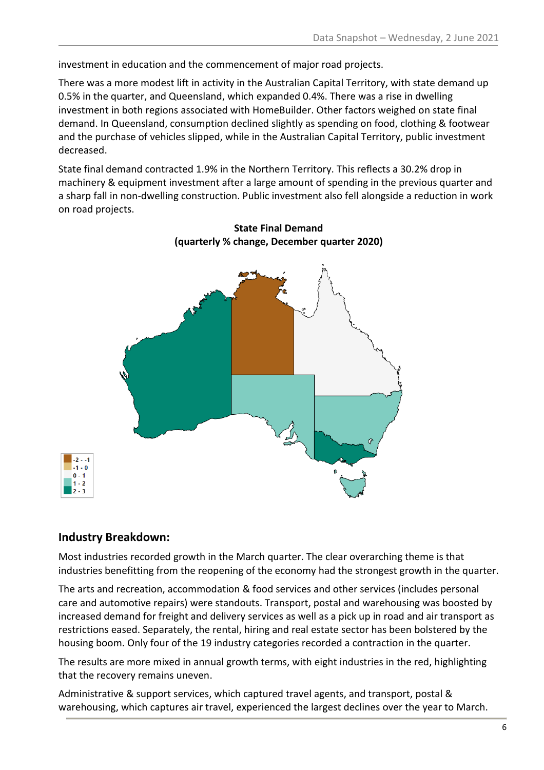investment in education and the commencement of major road projects.

There was a more modest lift in activity in the Australian Capital Territory, with state demand up 0.5% in the quarter, and Queensland, which expanded 0.4%. There was a rise in dwelling investment in both regions associated with HomeBuilder. Other factors weighed on state final demand. In Queensland, consumption declined slightly as spending on food, clothing & footwear and the purchase of vehicles slipped, while in the Australian Capital Territory, public investment decreased.

State final demand contracted 1.9% in the Northern Territory. This reflects a 30.2% drop in machinery & equipment investment after a large amount of spending in the previous quarter and a sharp fall in non-dwelling construction. Public investment also fell alongside a reduction in work on road projects.



#### **State Final Demand (quarterly % change, December quarter 2020)**

#### **Industry Breakdown:**

Most industries recorded growth in the March quarter. The clear overarching theme is that industries benefitting from the reopening of the economy had the strongest growth in the quarter.

The arts and recreation, accommodation & food services and other services (includes personal care and automotive repairs) were standouts. Transport, postal and warehousing was boosted by increased demand for freight and delivery services as well as a pick up in road and air transport as restrictions eased. Separately, the rental, hiring and real estate sector has been bolstered by the housing boom. Only four of the 19 industry categories recorded a contraction in the quarter.

The results are more mixed in annual growth terms, with eight industries in the red, highlighting that the recovery remains uneven.

Administrative & support services, which captured travel agents, and transport, postal & warehousing, which captures air travel, experienced the largest declines over the year to March.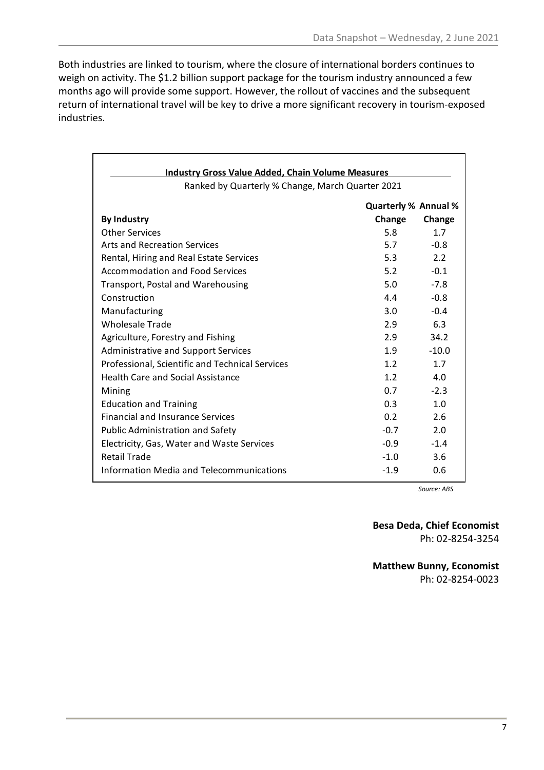Both industries are linked to tourism, where the closure of international borders continues to weigh on activity. The \$1.2 billion support package for the tourism industry announced a few months ago will provide some support. However, the rollout of vaccines and the subsequent return of international travel will be key to drive a more significant recovery in tourism-exposed industries.

| <b>Industry Gross Value Added, Chain Volume Measures</b> |                             |         |
|----------------------------------------------------------|-----------------------------|---------|
| Ranked by Quarterly % Change, March Quarter 2021         |                             |         |
|                                                          | <b>Quarterly % Annual %</b> |         |
| <b>By Industry</b>                                       | Change                      | Change  |
| <b>Other Services</b>                                    | 5.8                         | 1.7     |
| Arts and Recreation Services                             | 5.7                         | $-0.8$  |
| Rental, Hiring and Real Estate Services                  | 5.3                         | 2.2     |
| Accommodation and Food Services                          | 5.2                         | $-0.1$  |
| Transport, Postal and Warehousing                        | 5.0                         | $-7.8$  |
| Construction                                             | 4.4                         | $-0.8$  |
| Manufacturing                                            | $3.0^{\circ}$               | $-0.4$  |
| <b>Wholesale Trade</b>                                   | 2.9                         | 6.3     |
| Agriculture, Forestry and Fishing                        | 2.9                         | 34.2    |
| <b>Administrative and Support Services</b>               | 1.9                         | $-10.0$ |
| Professional, Scientific and Technical Services          | 1.2 <sub>1</sub>            | 1.7     |
| <b>Health Care and Social Assistance</b>                 | 1.2 <sub>2</sub>            | 4.0     |
| Mining                                                   | 0.7                         | $-2.3$  |
| <b>Education and Training</b>                            | 0.3                         | 1.0     |
| <b>Financial and Insurance Services</b>                  | 0.2 <sub>0</sub>            | 2.6     |
| <b>Public Administration and Safety</b>                  | $-0.7$                      | 2.0     |
| Electricity, Gas, Water and Waste Services               | $-0.9$                      | $-1.4$  |
| <b>Retail Trade</b>                                      | $-1.0$                      | 3.6     |
| <b>Information Media and Telecommunications</b>          | $-1.9$                      | 0.6     |

*Source: ABS*

**Besa Deda, Chief Economist** Ph: 02-8254-3254

**Matthew Bunny, Economist** Ph: 02-8254-0023